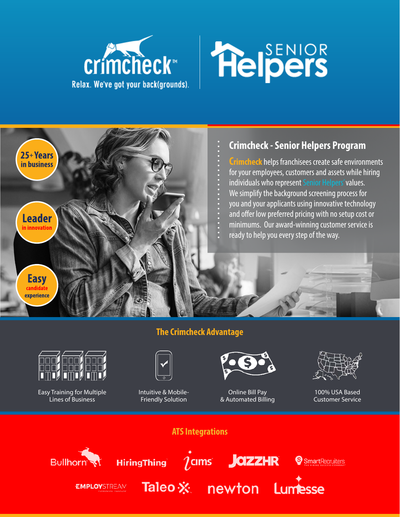



## **Crimcheck - Senior Helpers Program**

**Crimcheck** helps franchisees create safe environments for your employees, customers and assets while hiring individuals who represent Senior Helpers' values. We simplify the background screening process for you and your applicants using innovative technology and offer low preferred pricing with no setup cost or minimums. Our award-winning customer service is ready to help you every step of the way.

## **The Crimcheck Advantage**



25+Years in business

**Leader** in innovatior

> **Easy** candidate experience

> > Easy Training for Multiple Lines of Business



Intuitive & Mobile-Friendly Solution



Online Bill Pay & Automated Billing



100% USA Based Customer Service